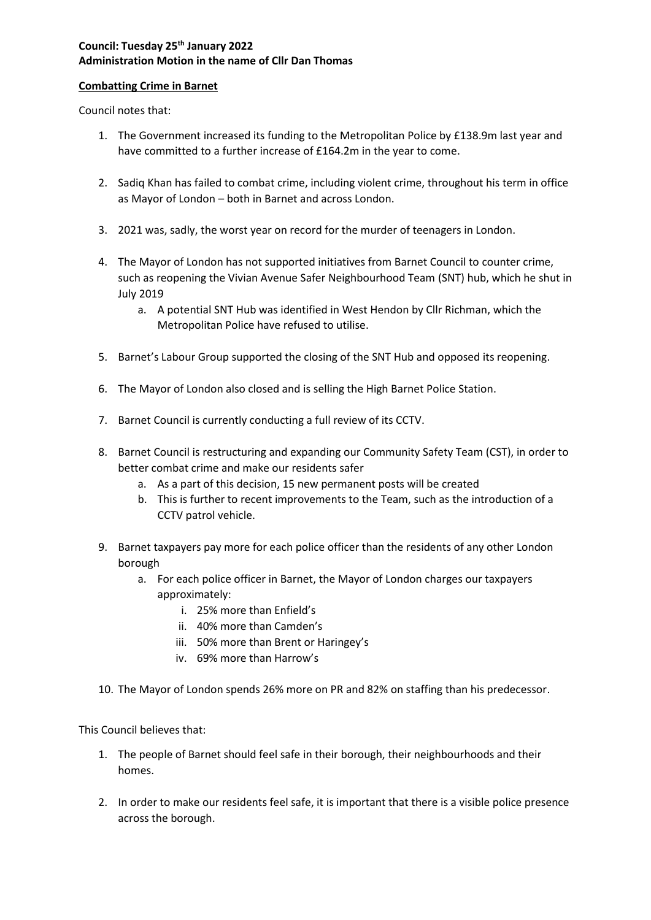## **Council: Tuesday 25th January 2022 Administration Motion in the name of Cllr Dan Thomas**

## **Combatting Crime in Barnet**

Council notes that:

- 1. The Government increased its funding to the Metropolitan Police by £138.9m last year and have committed to a further increase of £164.2m in the year to come.
- 2. Sadiq Khan has failed to combat crime, including violent crime, throughout his term in office as Mayor of London – both in Barnet and across London.
- 3. 2021 was, sadly, the worst year on record for the murder of teenagers in London.
- 4. The Mayor of London has not supported initiatives from Barnet Council to counter crime, such as reopening the Vivian Avenue Safer Neighbourhood Team (SNT) hub, which he shut in July 2019
	- a. A potential SNT Hub was identified in West Hendon by Cllr Richman, which the Metropolitan Police have refused to utilise.
- 5. Barnet's Labour Group supported the closing of the SNT Hub and opposed its reopening.
- 6. The Mayor of London also closed and is selling the High Barnet Police Station.
- 7. Barnet Council is currently conducting a full review of its CCTV.
- 8. Barnet Council is restructuring and expanding our Community Safety Team (CST), in order to better combat crime and make our residents safer
	- a. As a part of this decision, 15 new permanent posts will be created
	- b. This is further to recent improvements to the Team, such as the introduction of a CCTV patrol vehicle.
- 9. Barnet taxpayers pay more for each police officer than the residents of any other London borough
	- a. For each police officer in Barnet, the Mayor of London charges our taxpayers approximately:
		- i. 25% more than Enfield's
		- ii. 40% more than Camden's
		- iii. 50% more than Brent or Haringey's
		- iv. 69% more than Harrow's
- 10. The Mayor of London spends 26% more on PR and 82% on staffing than his predecessor.

This Council believes that:

- 1. The people of Barnet should feel safe in their borough, their neighbourhoods and their homes.
- 2. In order to make our residents feel safe, it is important that there is a visible police presence across the borough.